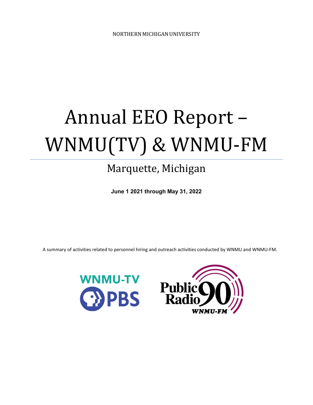# Annual EEO Report – WNMU(TV) & WNMU-FM

# Marquette, Michigan

**June 1 2021 through May 31, 2022**

A summary of activities related to personnel hiring and outreach activities conducted by WNMU and WNMU-FM.



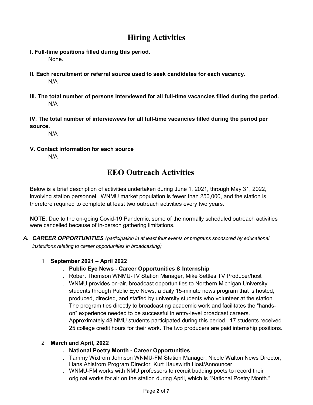### **Hiring Activities**

- **l. Full-time positions filled during this period.**  None.
- **ll. Each recruitment or referral source used to seek candidates for each vacancy.** N/A
- **lll. The total number of persons interviewed for all full-time vacancies filled during the period.** N/A
- **lV. The total number of interviewees for all full-time vacancies filled during the period per source.**

N/A

**V. Contact information for each source** N/A

## **EEO Outreach Activities**

Below is a brief description of activities undertaken during June 1, 2021, through May 31, 2022, involving station personnel. WNMU market population is fewer than 250,000, and the station is therefore required to complete at least two outreach activities every two years.

**NOTE**: Due to the on-going Covid-19 Pandemic, some of the normally scheduled outreach activities were cancelled because of in-person gathering limitations.

*A. CAREER OPPORTUNITIES (participation in at least four events or programs sponsored by educational institutions relating to career opportunities in broadcasting)*

#### 1 **September 2021 – April 2022**

- . **Public Eye News - Career Opportunities & Internship**
- . Robert Thomson WNMU-TV Station Manager, Mike Settles TV Producer/host
- . WNMU provides on-air, broadcast opportunities to Northern Michigan University students through Public Eye News, a daily 15-minute news program that is hosted, produced, directed, and staffed by university students who volunteer at the station. The program ties directly to broadcasting academic work and facilitates the "handson" experience needed to be successful in entry-level broadcast careers. Approximately 48 NMU students participated during this period. 17 students received 25 college credit hours for their work. The two producers are paid internship positions.

#### 2 **March and April, 2022**

#### **. National Poetry Month - Career Opportunities**

- **.** Tammy Wixtrom Johnson WNMU-FM Station Manager, Nicole Walton News Director, Hans Ahlstrom Program Director, Kurt Hauswirth Host/Announcer
- . WNMU-FM works with NMU professors to recruit budding poets to record their original works for air on the station during April, which is "National Poetry Month."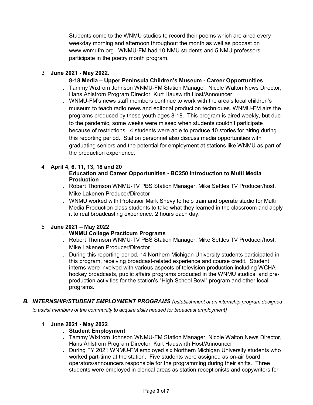Students come to the WNMU studios to record their poems which are aired every weekday morning and afternoon throughout the month as well as podcast on www.wnmufm.org. WNMU-FM had 10 NMU students and 5 NMU professors participate in the poetry month program.

#### 3 **June 2021 - May 2022.**

- . **8-18 Media – Upper Peninsula Children's Museum - Career Opportunities**
- **.** Tammy Wixtrom Johnson WNMU-FM Station Manager, Nicole Walton News Director, Hans Ahlstrom Program Director, Kurt Hauswirth Host/Announcer
- . WNMU-FM's news staff members continue to work with the area's local children's museum to teach radio news and editorial production techniques. WNMU-FM airs the programs produced by these youth ages 8-18. This program is aired weekly, but due to the pandemic, some weeks were missed when students couldn't participate because of restrictions. 4 students were able to produce 10 stories for airing during this reporting period. Station personnel also discuss media opportunities with graduating seniors and the potential for employment at stations like WNMU as part of the production experience.

#### 4 **April 4, 6, 11, 13, 18 and 20**

- . **Education and Career Opportunities - BC250 Introduction to Multi Media Production**
- . Robert Thomson WNMU-TV PBS Station Manager, Mike Settles TV Producer/host, Mike Lakenen Producer/Director
- . WNMU worked with Professor Mark Shevy to help train and operate studio for Multi Media Production class students to take what they learned in the classroom and apply it to real broadcasting experience. 2 hours each day.

#### 5 **June 2021 – May 2022**

- . **WNMU College Practicum Programs**
- . Robert Thomson WNMU-TV PBS Station Manager, Mike Settles TV Producer/host, Mike Lakenen Producer/Director
- . During this reporting period, 14 Northern Michigan University students participated in this program, receiving broadcast-related experience and course credit. Student interns were involved with various aspects of television production including WCHA hockey broadcasts, public affairs programs produced in the WNMU studios, and preproduction activities for the station's "High School Bowl" program and other local programs.
- *B. INTERNSHIP/STUDENT EMPLOYMENT PROGRAMS (establishment of an internship program designed to assist members of the community to acquire skills needed for broadcast employment)*

#### **1 June 2021 - May 2022**

#### **. Student Employment**

- **.** Tammy Wixtrom Johnson WNMU-FM Station Manager, Nicole Walton News Director, Hans Ahlstrom Program Director, Kurt Hauswirth Host/Announcer
- **.** During FY 2021 WNMU-FM employed six Northern Michigan University students who worked part-time at the station. Five students were assigned as on-air board operators/announcers responsible for the programming during their shifts. Three students were employed in clerical areas as station receptionists and copywriters for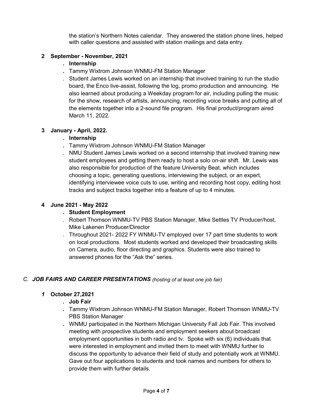the station's Northern Notes calendar. They answered the station phone lines, helped with caller questions and assisted with station mailings and data entry.

#### **2 September - November, 2021**

#### **. Internship**

- **.** Tammy Wixtrom Johnson WNMU-FM Station Manager
- . Student James Lewis worked on an internship that involved training to run the studio board, the Enco live-assist, following the log, promo production and announcing. He also learned about producing a Weekday program for air, including pulling the music for the show, research of artists, announcing, recording voice breaks and putting all of the elements together into a 2-sound file program. His final product/program aired March 11, 2022.

#### **3 January - April, 2022.**

#### **. Internship**

- **.** Tammy Wixtrom Johnson WNMU-FM Station Manager
- . NMU Student James Lewis worked on a second internship that involved training new student employees and getting them ready to host a solo on-air shift. Mr. Lewis was also responsible for production of the feature University Beat, which includes choosing a topic, generating questions, interviewing the subject, or an expert, identifying interviewee voice cuts to use, writing and recording host copy, editing host tracks and subject tracks together into a feature of up to 4 minutes.

#### **4 June 2021 - May 2022**

#### **. Student Employment**

- . Robert Thomson WNMU-TV PBS Station Manager, Mike Settles TV Producer/host, Mike Lakenen Producer/Director
- . Throughout 2021- 2022 FY WNMU-TV employed over 17 part time students to work on local productions. Most students worked and developed their broadcasting skills on Camera, audio, floor directing and graphics. Students were also trained to answered phones for the "Ask the" series.

#### *C. JOB FAIRS AND CAREER PRESENTATIONS (hosting of at least one job fair)*

#### *1* **October 27,2021**

#### *.* **Job Fair**

- *.* Tammy Wixtrom Johnson WNMU-FM Station Manager, Robert Thomson WNMU-TV PBS Station Manager
- *.* WNMU participated in the Northern Michigan University Fall Job Fair. This involved meeting with prospective students and employment seekers about broadcast employment opportunities in both radio and tv. Spoke with six (6) individuals that were interested in employment and invited them to meet with WNMU further to discuss the opportunity to advance their field of study and potentially work at WNMU. Gave out four applications to students and took names and numbers for others to provide them with further details.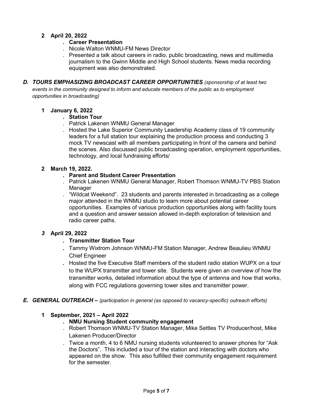#### **2 April 20, 2022**

#### **. Career Presentation**

- . Nicole Walton WNMU-FM News Director
- . Presented a talk about careers in radio, public broadcasting, news and multimedia journalism to the Gwinn Middle and High School students. News media recording equipment was also demonstrated.
- *D. TOURS EMPHASIZING BROADCAST CAREER OPPORTUNITIES (sponsorship of at least two events in the community designed to inform and educate members of the public as to employment opportunities in broadcasting)*

#### **1 January 6, 2022**

#### **. Station Tour**

- . Patrick Lakenen WNMU General Manager
- . Hosted the Lake Superior Community Leadership Academy class of 19 community leaders for a full station tour explaining the production process and conducting 3 mock TV newscast with all members participating in front of the camera and behind the scenes. Also discussed public broadcasting operation, employment opportunities, technology, and local fundraising efforts/

#### **2 March 19, 2022.**

#### **. Parent and Student Career Presentation**

- . Patrick Lakenen WNMU General Manager, Robert Thomson WNMU-TV PBS Station Manager
- . "Wildcat Weekend". 23 students and parents interested in broadcasting as a college major attended in the WNMU studio to learn more about potential career opportunities. Examples of various production opportunities along with facility tours and a question and answer session allowed in-depth exploration of television and radio career paths.

#### *3* **April 29, 2022**

#### *.* **Transmitter Station Tour**

- *.* Tammy Wixtrom Johnson WNMU-FM Station Manager, Andrew Beaulieu WNMU Chief Engineer
- *.* Hosted the five Executive Staff members of the student radio station WUPX on a tour to the WUPX transmitter and tower site. Students were given an overview of how the transmitter works, detailed information about the type of antenna and how that works, along with FCC regulations governing tower sites and transmitter power.

#### *E. GENERAL OUTREACH – (participation in general (as opposed to vacancy-specific) outreach efforts)*

#### **1 September, 2021 – April 2022**

#### **. NMU Nursing Student community engagement**

- . Robert Thomson WNMU-TV Station Manager, Mike Settles TV Producer/host, Mike Lakenen Producer/Director
- . Twice a month, 4 to 6 NMU nursing students volunteered to answer phones for "Ask the Doctors". This included a tour of the station and interacting with doctors who appeared on the show. This also fulfilled their community engagement requirement for the semester.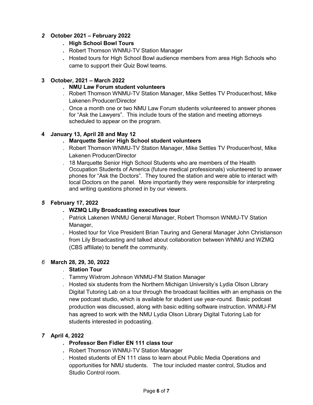#### *2* **October 2021 – February 2022**

#### *.* **High School Bowl Tours**

- *.* Robert Thomson WNMU-TV Station Manager
- *.* Hosted tours for High School Bowl audience members from area High Schools who came to support their Quiz Bowl teams.

#### **3 October, 2021 – March 2022**

#### **. NMU Law Forum student volunteers**

- . Robert Thomson WNMU-TV Station Manager, Mike Settles TV Producer/host, Mike Lakenen Producer/Director
- . Once a month one or two NMU Law Forum students volunteered to answer phones for "Ask the Lawyers". This include tours of the station and meeting attorneys scheduled to appear on the program.

#### **4 January 13, April 28 and May 12**

- **. Marquette Senior High School student volunteers**
- . Robert Thomson WNMU-TV Station Manager, Mike Settles TV Producer/host, Mike Lakenen Producer/Director
- . 18 Marquette Senior High School Students who are members of the Health Occupation Students of America (future medical professionals) volunteered to answer phones for "Ask the Doctors". They toured the station and were able to interact with local Doctors on the panel. More importantly they were responsible for interpreting and writing questions phoned in by our viewers.

#### *5* **February 17, 2022**

#### *.* **WZMQ Lilly Broadcasting executives tour**

- *.* Patrick Lakenen WNMU General Manager, Robert Thomson WNMU-TV Station Manager,
- *.* Hosted tour for Vice President Brian Tauring and General Manager John Christianson from Lily Broadcasting and talked about collaboration between WNMU and WZMQ (CBS affiliate) to benefit the community.

#### *6* **March 28, 29, 30, 2022**

- *.* **Station Tour**
- *.* Tammy Wixtrom Johnson WNMU-FM Station Manager
- *.* Hosted six students from the Northern Michigan University's Lydia Olson Library Digital Tutoring Lab on a tour through the broadcast facilities with an emphasis on the new podcast studio, which is available for student use year-round. Basic podcast production was discussed, along with basic editing software instruction. WNMU-FM has agreed to work with the NMU Lydia Olson Library Digital Tutoring Lab for students interested in podcasting.

#### *7* **April 4, 2022**

- *.* **Professor Ben Fidler EN 111 class tour**
- *.* Robert Thomson WNMU-TV Station Manager
- *.* Hosted students of EN 111 class to learn about Public Media Operations and opportunities for NMU students. The tour included master control, Studios and Studio Control room.